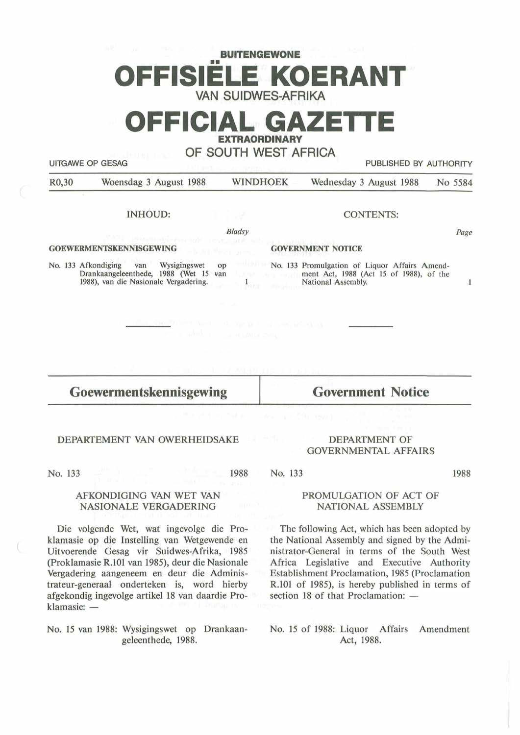## **BUITENGEWONE**  •• **OFFISIELE KOERANT VAN SUIDWES-AFRIKA**

**OFFICIAL GAZETTE** 

**EXTRAORDINARY** 

**OF SOUTH WEST AFRICA** 

UITGAWE OP GESAG PUBLISHED BY AUTHORITY

R0,30 Woensdag 3 August 1988 WINDHOEK Wednesday 3 August 1988 No 5584

#### INHOUD:

*Bladsy* 

 $\mathbf{1}$ 

#### **GOEWERMENTSKENNISGEWING**

No. 133 Afkondiging van Wysigingswet op Drankaangeleenthede, 1988 (Wet 15 1988), van die Nasionale Vergadering.

#### CONTENTS:

Page

 $\mathbf{1}$ 

1988

#### **GOVERNMENT NOTICE**

No. 133 Promulgation of Liquor Affairs Amendment Act, 1988 (Act 15 of 1988), of the National Assembly.

### **Goewermentskennisgewing**

**Government Notice** 

#### DEPARTEMENT VAN OWERHEIDSAKE

No. 133

1988 No. 133

#### AFKONDIGING VAN WET VAN NASIONALE VERGADERING

Die volgende Wet, wat ingevolge die Proklamasie op die lnstelling van Wetgewende en Uitvoerende Gesag vir Suidwes-Afrika, 1985 (Proklamasie R.101 van 1985), deur die Nasionale Vergadering aangeneem en deur die Administrateur-generaal onderteken is, word hierby af gekondig ingevolge artikel 18 van daardie Proklamasie: -

#### No. 15 van 1988: Wysigingswet op Drankaangeleenthede, 1988.

#### DEPARTMENT OF GOVERNMENTAL AFFAIRS

#### PROMULGATION OF ACT OF NATIONAL ASSEMBLY

The following Act, which has been adopted by the National Assembly and signed by the Administrator-General in terms of the South West Africa Legislative and Executive Authority Establishment Proclamation, 1985 (Proclamation R.101 of 1985), is hereby published in terms of section 18 of that Proclamation:  $-$ 

No. 15 of 1988: Liquor Affairs Amendment Act, 1988.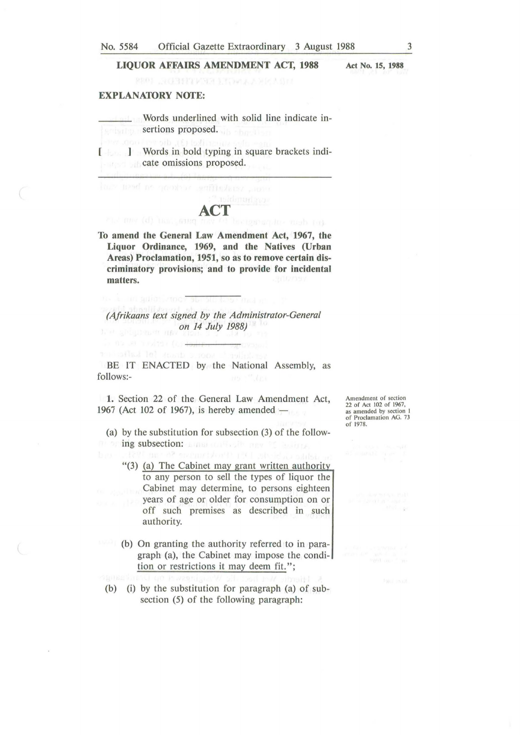#### **LIQUOR AFFAIRS AMENDMENT ACT, 1988**

**Act No. 15, 1988** 

#### **EXPLANATORY NOTE:**

in adiosizing?

no su nostra frazente

Words underlined with solid line indicate insertions proposed.

[ **J** Words in bold typing in square brackets indicate omissions proposed.

# **ACT**<br>ACT *between* the mah to

**To amend the General Law Amendment Act, 1967, the Liquor Ordinance, 1969, and the Natives (Urban Areas) Proclamation, 1951, so as to remove certain discriminatory provisions; and to provide for incidental matters.** 

*(Afrikaans text signed by the Administrator-General on 14 July 1988)* 

BE IT ENACTED by the National Assembly, as follows:-

**1.** Section 22 of the General Law Amendment Act, 1967 (Act 102 of 1967), is hereby amended  $-$ 

(a) by the substitution for subsection (3) of the followni on **ing subsection:** Euran collection and is leader.<br>In a section of sound for the late is a public

- " $(3)$  (a) The Cabinet may grant written authority to any person to sell the types of liquor the Cabinet may determine, to persons eighteen years of age or older for consumption on or off such premises as described in such authority.
- (b) On granting the authority referred to in paragraph (a), the Cabinet may impose the condition or restrictions it may deem fit.";
	- (b) (i) by the substitution for paragraph (a) of subsection (5) of the following paragraph:

Amendment of section 22 of Act 102 of 1967, as amended by section I of Proclamation AG. 73 of 1978.